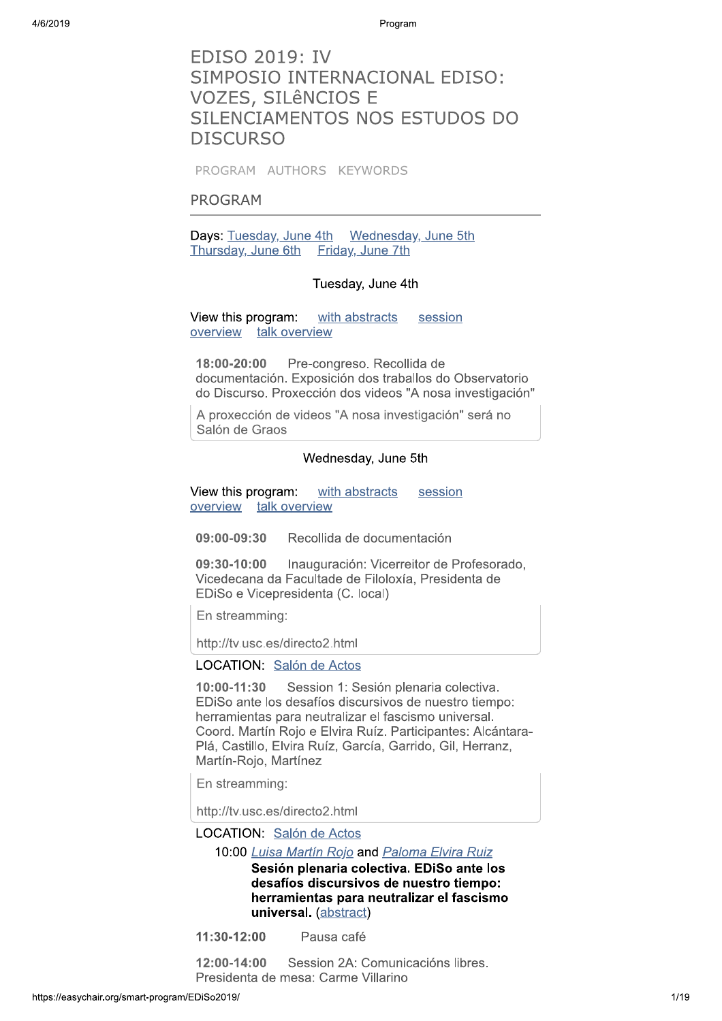# **EDISO 2019: IV** SIMPOSIO INTERNACIONAL EDISO: VOZES, SILÊNCIOS E SILENCIAMENTOS NOS ESTUDOS DO **DISCURSO**

PROGRAM AUTHORS KEYWORDS

#### **PROGRAM**

Days: Tuesday, June 4th Wednesday, June 5th Thursday, June 6th Friday, June 7th

#### Tuesday, June 4th

View this program: with abstracts session overview talk overview

18:00-20:00 Pre-congreso. Recollida de documentación. Exposición dos traballos do Observatorio do Discurso. Proxección dos videos "A nosa investigación"

A proxección de videos "A nosa investigación" será no Salón de Graos

#### Wednesday, June 5th

View this program: with abstracts session overview talk overview

09:00-09:30 Recollida de documentación

09:30-10:00 Inauguración: Vicerreitor de Profesorado, Vicedecana da Facultade de Filoloxía. Presidenta de EDiSo e Vicepresidenta (C. local)

En streamming:

http://tv.usc.es/directo2.html

LOCATION: Salón de Actos

 $10:00 - 11:30$ Session 1: Sesión plenaria colectiva. EDISo ante los desafíos discursivos de nuestro tiempo: herramientas para neutralizar el fascismo universal. Coord. Martín Roio e Elvira Ruíz. Participantes: Alcántara-Plá, Castillo, Elvira Ruíz, García, Garrido, Gil, Herranz, Martín-Rojo, Martínez

En streamming:

http://tv.usc.es/directo2.html

LOCATION: Salón de Actos

10:00 Luisa Martín Rojo and Paloma Elvira Ruiz

Sesión plenaria colectiva. EDiSo ante los desafíos discursivos de nuestro tiempo: herramientas para neutralizar el fascismo universal. (abstract)

 $11:30-12:00$ Pausa café

Session 2A: Comunicacións libres. 12:00-14:00 Presidenta de mesa: Carme Villarino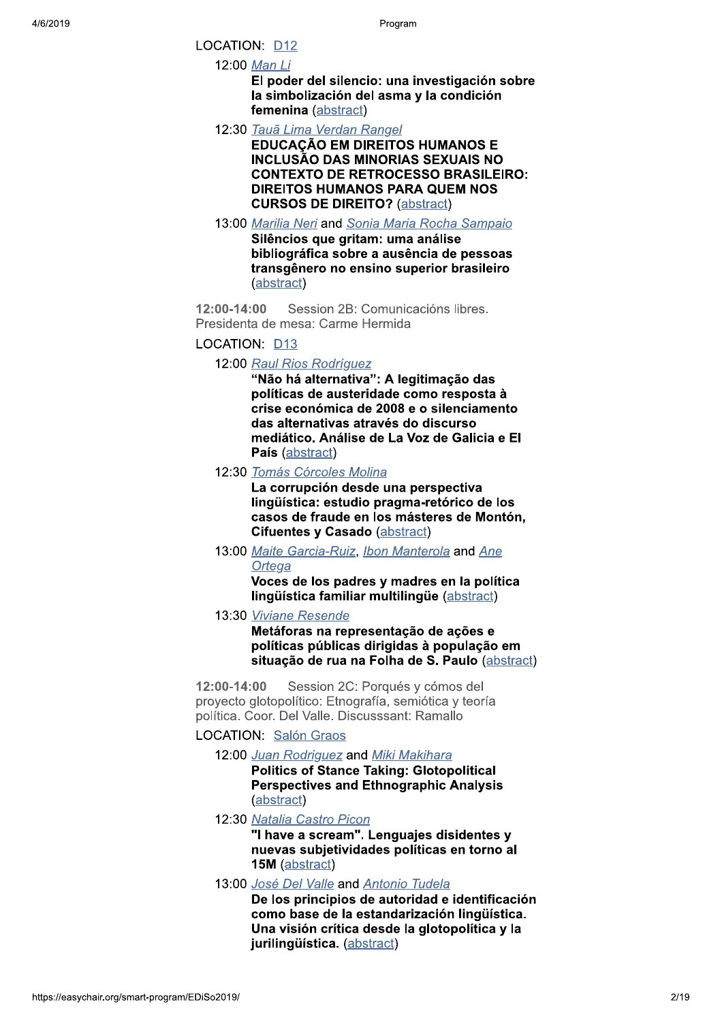LOCATION: D12

12:00 Man Li

El poder del silencio: una investigación sobre la simbolización del asma y la condición femenina (abstract)

12:30 Tauã Lima Verdan Rangel

**EDUCAÇÃO EM DIREITOS HUMANOS E INCLUSÃO DAS MINORIAS SEXUAIS NO CONTEXTO DE RETROCESSO BRASILEIRO: DIREITOS HUMANOS PARA QUEM NOS CURSOS DE DIREITO?** (abstract)

13:00 Marilia Neri and Sonia Maria Rocha Sampaio Silêncios que gritam: uma análise bibliográfica sobre a ausência de pessoas transgênero no ensino superior brasileiro (abstract)

12:00-14:00 Session 2B: Comunicacións libres. Presidenta de mesa: Carme Hermida

LOCATION: D13

12:00 Raul Rios Rodríguez

"Não há alternativa": A legitimação das políticas de austeridade como resposta à crise económica de 2008 e o silenciamento das alternativas através do discurso mediático. Análise de La Voz de Galicia e El País (abstract)

12:30 Tomás Córcoles Molina

La corrupción desde una perspectiva lingüística: estudio pragma-retórico de los casos de fraude en los másteres de Montón, **Cifuentes y Casado (abstract)** 

13:00 Maite Garcia-Ruiz, Ibon Manterola and Ane Ortega

> Voces de los padres y madres en la política lingüística familiar multilingüe (abstract)

13:30 Viviane Resende

Metáforas na representação de ações e políticas públicas dirigidas à população em situação de rua na Folha de S. Paulo (abstract)

12:00-14:00 Session 2C: Porqués y cómos del provecto glotopolítico: Etnografía, semiótica y teoría política. Coor. Del Valle. Discusssant: Ramallo

# **LOCATION: Salón Graos**

12:00 Juan Rodriguez and Miki Makihara

**Politics of Stance Taking: Glotopolitical Perspectives and Ethnographic Analysis** (abstract)

12:30 Natalia Castro Picon

"I have a scream". Lenguajes disidentes y nuevas subietividades políticas en torno al 15M (abstract)

13:00 José Del Valle and Antonio Tudela

De los principios de autoridad e identificación como base de la estandarización lingüística. Una visión crítica desde la glotopolítica y la jurilingüística. (abstract)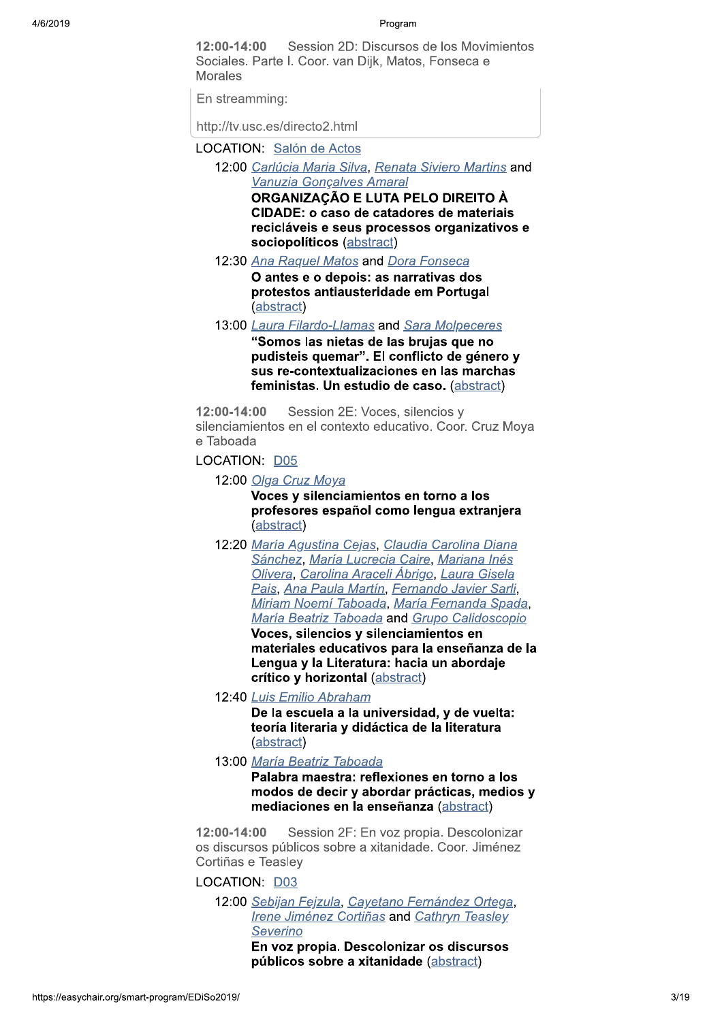12:00-14:00 Session 2D: Discursos de los Movimientos Sociales, Parte I, Coor, van Dijk, Matos, Fonseca e Morales

En streamming:

http://tv.usc.es/directo2.html

LOCATION Salón de Actos

12:00 Carlúcia Maria Silva, Renata Siviero Martins and Vanuzia Gonçalves Amaral

ORGANIZAÇÃO E LUTA PELO DIREITO À CIDADE: o caso de catadores de materiais recicláveis e seus processos organizativos e sociopolíticos (abstract)

- 12:30 Ana Raquel Matos and Dora Fonseca
	- O antes e o depois: as narrativas dos protestos antiausteridade em Portugal (abstract)
- 13:00 Laura Filardo-Llamas and Sara Molpeceres "Somos las nietas de las bruias que no pudisteis quemar". El conflicto de género y sus re-contextualizaciones en las marchas feministas. Un estudio de caso. (abstract)

Session 2E: Voces, silencios v  $12:00 - 14:00$ silenciamientos en el contexto educativo. Coor. Cruz Moya e Taboada

#### LOCATION: D05

12:00 Olga Cruz Moya

Voces y silenciamientos en torno a los profesores español como lengua extranjera (abstract)

12:20 María Agustina Cejas, Claudia Carolina Diana Sánchez, María Lucrecia Caire, Mariana Inés Olivera, Carolina Araceli Ábrigo, Laura Gisela Pais, Ana Paula Martín, Fernando Javier Sarli, Miriam Noemí Taboada, María Fernanda Spada, María Beatriz Taboada and Grupo Calidoscopio Voces, silencios y silenciamientos en materiales educativos para la enseñanza de la

Lengua y la Literatura: hacia un abordaje crítico y horizontal (abstract)

- 12:40 Luis Emilio Abraham De la escuela a la universidad, y de vuelta: teoría literaria y didáctica de la literatura (abstract)
- 13:00 María Beatriz Taboada

Palabra maestra: reflexiones en torno a los modos de decir y abordar prácticas, medios y mediaciones en la enseñanza (abstract)

12:00-14:00 Session 2F: En voz propia. Descolonizar os discursos públicos sobre a xitanidade. Coor. Jiménez Cortiñas e Teasley

# LOCATION: D03

12:00 Sebijan Fejzula, Cayetano Fernández Ortega, Irene Jiménez Cortiñas and Cathryn Teasley Severino

> En voz propia. Descolonizar os discursos públicos sobre a xitanidade (abstract)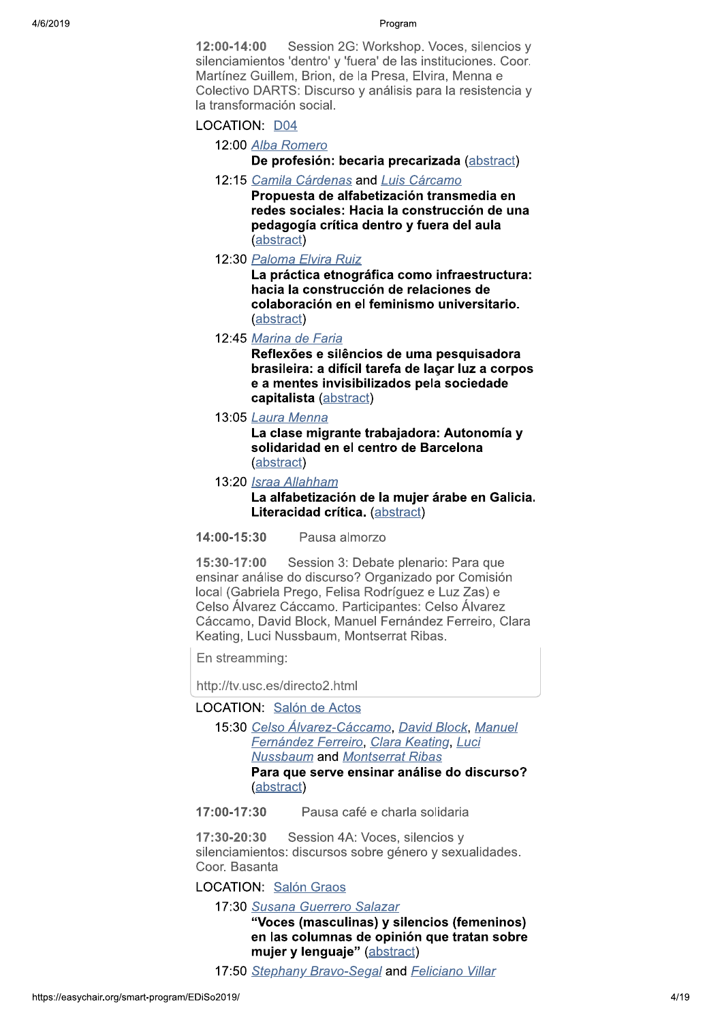12:00-14:00 Session 2G: Workshop. Voces, silencios y silenciamientos 'dentro' y 'fuera' de las instituciones. Coor. Martínez Guillem, Brion, de la Presa, Elvira, Menna e Colectivo DARTS: Discurso y análisis para la resistencia y la transformación social.

## LOCATION: D04

### 12:00 Alba Romero

De profesión: becaria precarizada (abstract)

12:15 Camila Cárdenas and Luis Cárcamo

Propuesta de alfabetización transmedia en redes sociales: Hacia la construcción de una pedagogía crítica dentro y fuera del aula (abstract)

12:30 Paloma Elvira Ruiz

La práctica etnográfica como infraestructura: hacia la construcción de relaciones de colaboración en el feminismo universitario. (abstract)

12:45 Marina de Faria

Reflexões e silêncios de uma pesquisadora brasileira: a difícil tarefa de laçar luz a corpos e a mentes invisibilizados pela sociedade capitalista (abstract)

13:05 Laura Menna

La clase migrante trabajadora: Autonomía y solidaridad en el centro de Barcelona (abstract)

13:20 Israa Allahham

La alfabetización de la mujer árabe en Galicia. Literacidad crítica. (abstract)

14:00-15:30 Pausa almorzo

15:30-17:00 Session 3: Debate plenario: Para que ensinar análise do discurso? Organizado por Comisión local (Gabriela Prego, Felisa Rodríguez e Luz Zas) e Celso Álvarez Cáccamo. Participantes: Celso Álvarez Cáccamo, David Block, Manuel Fernández Ferreiro, Clara Keating, Luci Nussbaum, Montserrat Ribas.

En streamming:

http://tv.usc.es/directo2.html

LOCATION: Salón de Actos

15:30 Celso Álvarez-Cáccamo, David Block, Manuel Fernández Ferreiro, Clara Keating, Luci **Nussbaum and Montserrat Ribas** Para que serve ensinar análise do discurso? (abstract)

17:00-17:30 Pausa café e charla solidaria

Session 4A: Voces, silencios v 17:30-20:30 silenciamientos: discursos sobre género y sexualidades. Coor. Basanta

**LOCATION: Salón Graos** 

17:30 Susana Guerrero Salazar

"Voces (masculinas) y silencios (femeninos) en las columnas de opinión que tratan sobre mujer y lenguaje" (abstract)

17:50 Stephany Bravo-Segal and Feliciano Villar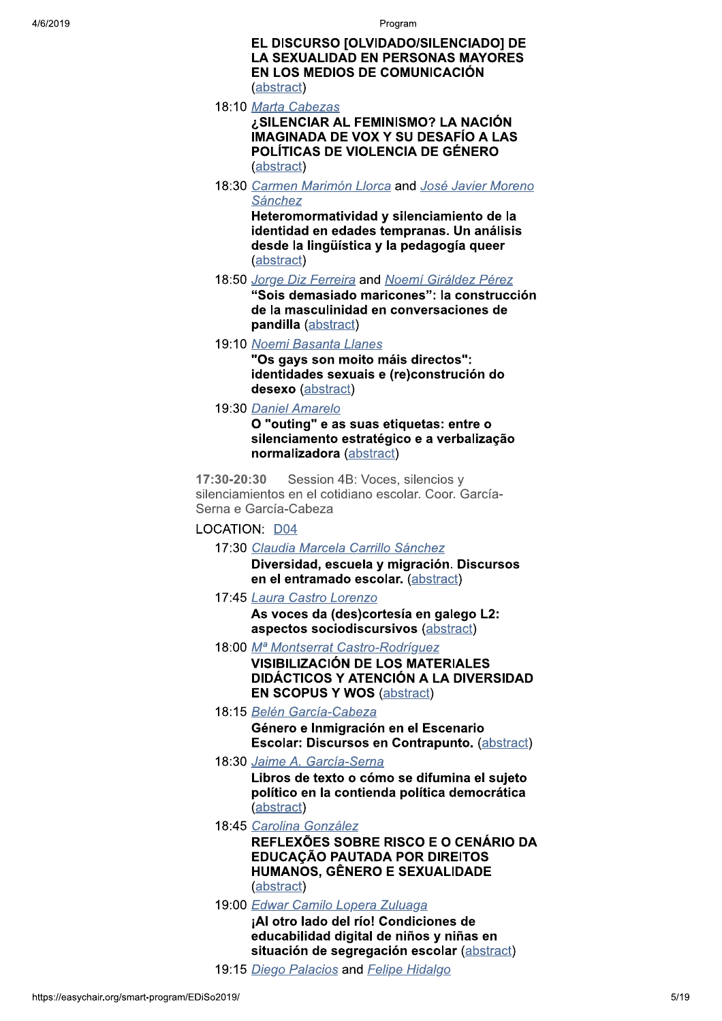regret of the contract of the contract of the contract of the contract of the contract of the contract of the contract of the contract of the contract of the contract of the contract of the contract of the contract of the Program

# Program<br>
EL DISCURSO [OLVIDADO/SILENCIADO] DE<br>
LA SEXUALIDAD EN PERSONAS MAYORES<br>
EN LOS MEDIOS DE COMUNICACIÓN<br>
(abstract)<br>
10 *Marta Cabezas*<br>
¿SILENCIAR AL FEMINISMO? LA NACIÓN<br>
IMAGINADA DE VOX Y SU DESAFÍO A LAS<br>
POLÍ

Program<br>
EL DISCURSO [OLVIDADO/SILENCIADO] DE<br>
LA SEXUALIDAD EN PERSONAS MAYORES<br>
EN LOS MEDIOS DE COMUNICACIÓN<br>
(abstract)<br>
18:10 *Marta Cabezas*<br>
2SILENCIAR AL FEMINISMO? LA NACIÓN<br>
IMAGINADA DE VOX Y SU DESAFÍO A LAS<br>
P

18:30 Carmen Marimón Llorca and José Javier Moreno Sánchez

Heteromormatividad y silenciamiento de la identidad en edades tempranas. Un análisis desde la lingüística y la pedagogía queer (abstract)

- 18:50 Jorge Diz Ferreira and Noemi Giráldez Pérez "Sois demasiado maricones": la construcción de la masculinidad en conversaciones de pandilla (abstract)
- 19:10 Noemi Basanta Llanes

"Os gays son moito máis directos": identidades sexuais e (re)construción do desexo (abstract)

19:30 Daniel Amarelo

O "outing" e as suas etiquetas: entre o silenciamento estratégico e a verbalização normalizadora (abstract)

17:30-20:30 Session 4B: Voces, silencios y silenciamientos en el cotidiano escolar. Coor. García-Serna e García-Cabeza

LOCATION: D04

17:30 Claudia Marcela Carrillo Sánchez

Diversidad, escuela y migración. Discursos en el entramado escolar. (abstract)

17:45 Laura Castro Lorenzo

As voces da (des)cortesía en galego L2:  $a$ spectos sociodiscursivos ( $a$ bstract)

- 
- 18:15 Belén García-Cabeza Género e Inmigración en el Escenario Escolar: Discursos en Contrapunto. (abstract)
- 17:30 Claudia Marcela Carrillo Sánchez<br>
Diversidad, escuela y migración. Discursos<br>
en el entramado escolar. (abstract)<br>
17:45 Laura Castro Lorenzo<br>
A svoces da (des)cortesia en galego L2:<br>
aspectos sociodiscursivos (abst 18:30 Jaime A. García-Serna Libros de texto o cómo se difumina el sujeto político en la contienda política democrática (abstract)
	- 18:45 Carolina González REFLEXÕES SOBRE RISCO E O CENÁRIO DA EDUCACÃO PAUTADA POR DIREITOS HUMANOS, GÊNERO E SEXUALIDADE (abstract)
	- 19:00 Edwar Camilo Lopera Zuluaga ¡Al otro lado del río! Condiciones de educabilidad digital de niños y niñas en situación de segregación escolar (abstract)
	- 19:15 Diego Palacios and Felipe Hidalgo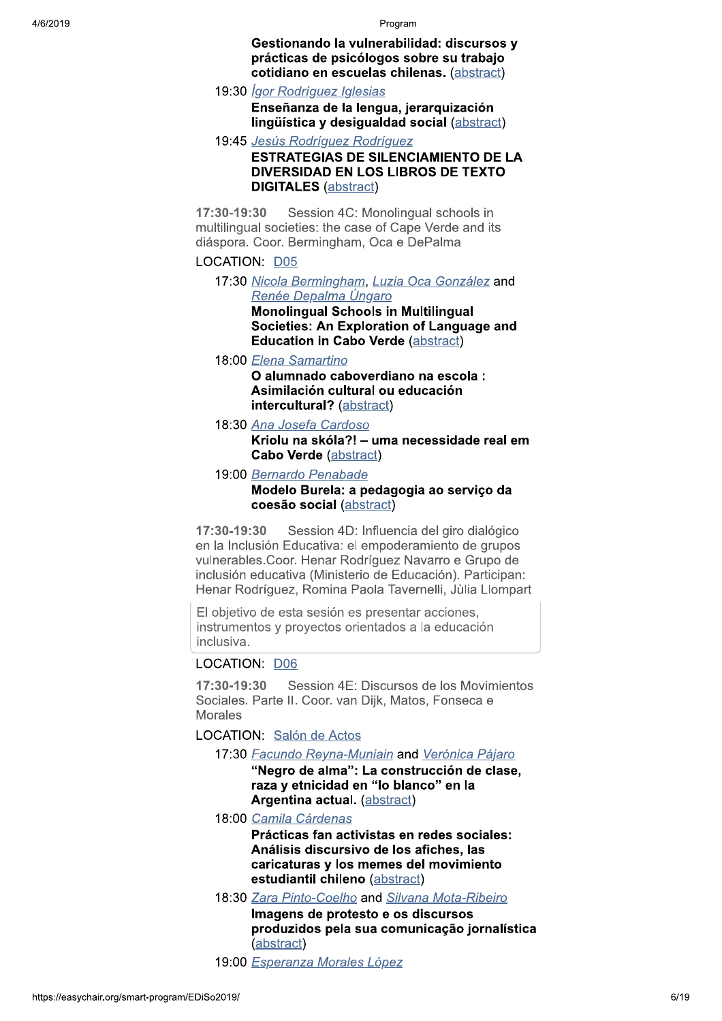Gestionando la vulnerabilidad: discursos y prácticas de psicólogos sobre su trabajo cotidiano en escuelas chilenas. (abstract)

- 19:30 Ígor Rodríguez Iglesias Enseñanza de la lengua, jerarquización lingüística y desigualdad social (abstract)
- 19:45 Jesús Rodríguez Rodríguez **ESTRATEGIAS DE SILENCIAMIENTO DE LA** DIVERSIDAD EN LOS LIBROS DE TEXTO **DIGITALES** (abstract)

17:30-19:30 Session 4C: Monolingual schools in multilingual societies: the case of Cape Verde and its diáspora. Coor. Bermingham, Oca e DePalma

# LOCATION: D05

17:30 Nicola Bermingham, Luzia Oca González and Renée Depalma Úngaro

**Monolingual Schools in Multilingual** Societies: An Exploration of Language and **Education in Cabo Verde (abstract)** 

- 18:00 Elena Samartino O alumnado caboverdiano na escola: Asimilación cultural ou educación intercultural? (abstract)
- 18:30 Ana Josefa Cardoso Kriolu na skóla?! – uma necessidade real em **Cabo Verde (abstract)**
- 19:00 Bernardo Penabade Modelo Burela: a pedagogia ao serviço da coesão social (abstract)

17:30-19:30 Session 4D: Influencia del giro dialógico en la Inclusión Educativa: el empoderamiento de grupos vulnerables. Coor. Henar Rodríguez Navarro e Grupo de inclusión educativa (Ministerio de Educación). Participan: Henar Rodríguez, Romina Paola Tavernelli, Jùlia Llompart

El objetivo de esta sesión es presentar acciones. instrumentos y proyectos orientados a la educación inclusiva.

# **LOCATION: D06**

 $17:30-19:30$ Session 4F: Discursos de los Movimientos Sociales. Parte II. Coor. van Dijk, Matos, Fonseca e Morales

# LOCATION: Salón de Actos

17:30 Facundo Reyna-Muniain and Verónica Pájaro

"Negro de alma": La construcción de clase, raza y etnicidad en "lo blanco" en la Argentina actual. (abstract)

18:00 Camila Cárdenas

Prácticas fan activistas en redes sociales: Análisis discursivo de los afiches, las caricaturas y los memes del movimiento estudiantil chileno (abstract)

18:30 Zara Pinto-Coelho and Silvana Mota-Ribeiro

Imagens de protesto e os discursos produzidos pela sua comunicação jornalística (abstract)

19:00 Esperanza Morales López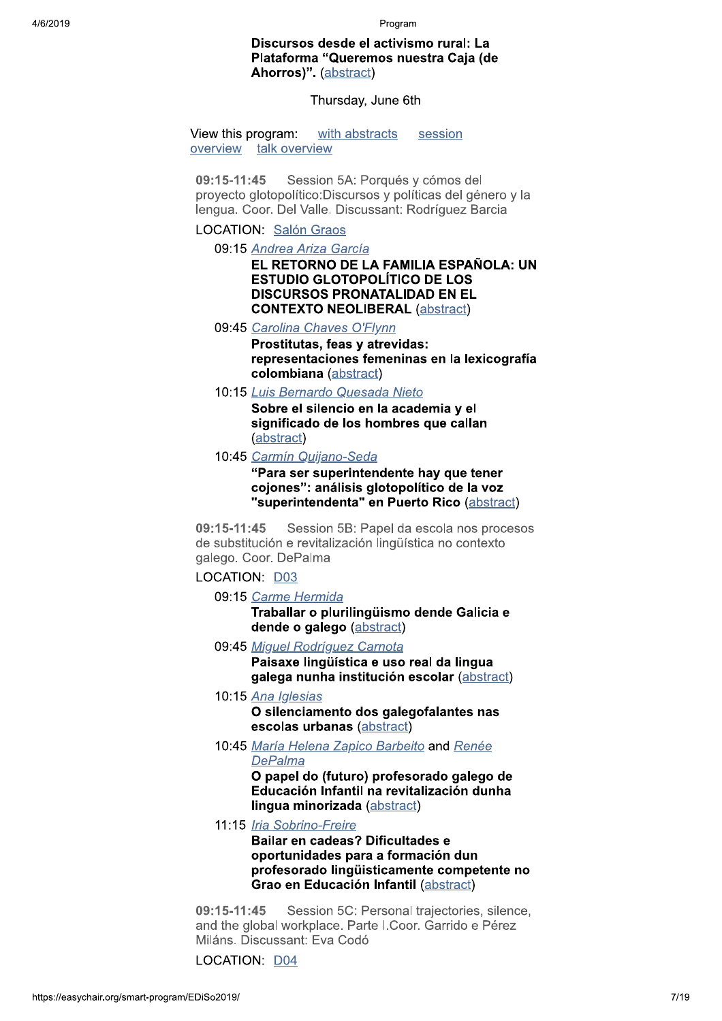Discursos desde el activismo rural: La Plataforma "Queremos nuestra Caja (de Ahorros)". (abstract)

# Thursday, June 6th

View this program: with abstracts session overview talk overview

09:15-11:45 Session 5A: Porqués y cómos del proyecto glotopolítico: Discursos y políticas del género y la lengua. Coor. Del Valle. Discussant: Rodríguez Barcia

**LOCATION: Salón Graos** 

09:15 Andrea Ariza García

EL RETORNO DE LA FAMILIA ESPAÑOLA: UN **ESTUDIO GLOTOPOLÍTICO DE LOS DISCURSOS PRONATALIDAD EN EL CONTEXTO NEOLIBERAL (abstract)** 

- 09:45 Carolina Chaves O'Flynn Prostitutas, feas y atrevidas: representaciones femeninas en la lexicografía colombiana (abstract)
- 10:15 Luis Bernardo Quesada Nieto

Sobre el silencio en la academia y el significado de los hombres que callan (abstract)

10:45 Carmín Quijano-Seda

"Para ser superintendente hav que tener cojones": análisis glotopolítico de la voz "superintendenta" en Puerto Rico (abstract)

09:15-11:45 Session 5B: Papel da escola nos procesos de substitución e revitalización lingüística no contexto galego. Coor. DePalma

LOCATION: D03

- 09:15 Carme Hermida
	- Traballar o plurilingüismo dende Galicia e dende o galego (abstract)
- 09:45 Miguel Rodríguez Carnota Paisaxe lingüística e uso real da lingua galega nunha institución escolar (abstract)
- 10:15 Ana Iglesias O silenciamento dos galegofalantes nas escolas urbanas (abstract)
- 10:45 María Helena Zapico Barbeito and Renée **DePalma**

O papel do (futuro) profesorado galego de Educación Infantil na revitalización dunha lingua minorizada (abstract)

11:15 Iria Sobrino-Freire

Bailar en cadeas? Dificultades e oportunidades para a formación dun profesorado lingüisticamente competente no Grao en Educación Infantil (abstract)

Session 5C: Personal trajectories, silence, 09:15-11:45 and the global workplace. Parte I.Coor. Garrido e Pérez Miláns. Discussant: Eva Codó

LOCATION: D04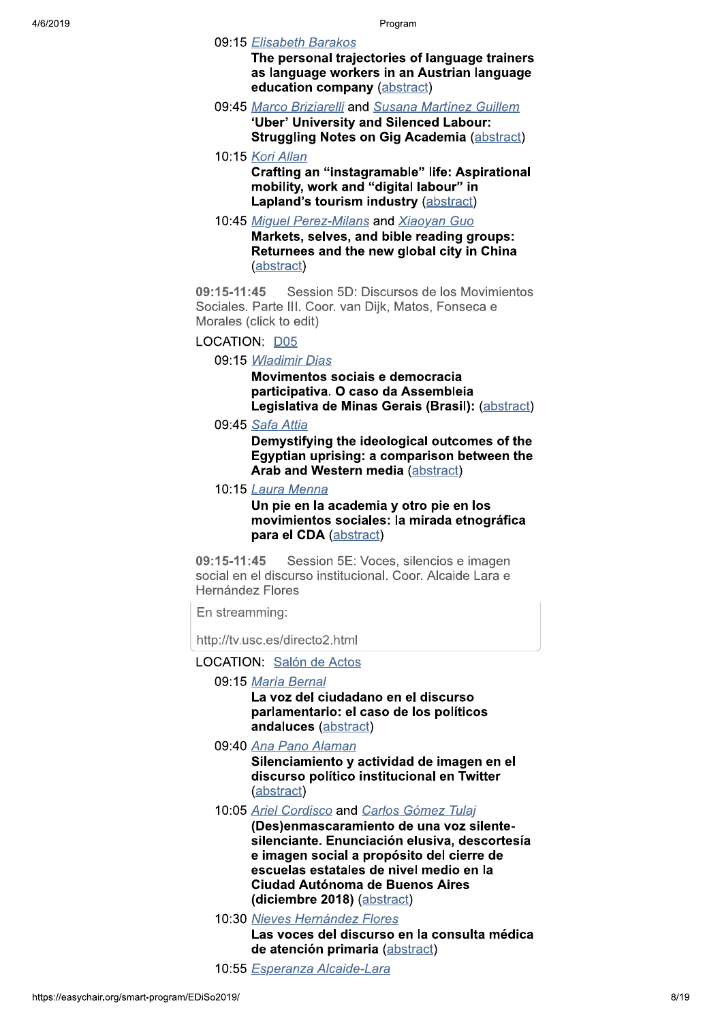- 09:15 Elisabeth Barakos The personal trajectories of language trainers as language workers in an Austrian language education company (abstract)
- 09:45 Marco Briziarelli and Susana Martínez Guillem 'Uber' University and Silenced Labour: **Struggling Notes on Gig Academia (abstract)**
- 10:15 Kori Allan Crafting an "instagramable" life: Aspirational
	- mobility, work and "digital labour" in Lapland's tourism industry (abstract)
- 10:45 Miguel Perez-Milans and Xiaoyan Guo Markets, selves, and bible reading groups: Returnees and the new global city in China (abstract)

Session 5D: Discursos de los Movimientos 09:15-11:45 Sociales. Parte III. Coor. van Dijk, Matos, Fonseca e Morales (click to edit)

# LOCATION: D05

09:15 Wladimir Dias

Movimentos sociais e democracia participativa. O caso da Assembleia Legislativa de Minas Gerais (Brasil): (abstract)

09:45 Safa Attia

Demystifying the ideological outcomes of the Eqyptian uprising: a comparison between the Arab and Western media (abstract)

10:15 Laura Menna

Un pie en la academia y otro pie en los movimientos sociales: la mirada etnográfica para el CDA (abstract)

09:15-11:45 Session 5E: Voces, silencios e imagen social en el discurso institucional. Coor. Alcaide Lara e Hernández Flores

En streamming:

http://tv.usc.es/directo2.html

LOCATION: Salón de Actos

09:15 María Bernal

La voz del ciudadano en el discurso parlamentario: el caso de los políticos andaluces (abstract)

09:40 Ana Pano Alaman

Silenciamiento y actividad de imagen en el discurso político institucional en Twitter (abstract)

10:05 Ariel Cordisco and Carlos Gómez Tulaj

(Des)enmascaramiento de una voz silentesilenciante. Enunciación elusiva, descortesía e imagen social a propósito del cierre de escuelas estatales de nivel medio en la Ciudad Autónoma de Buenos Aires (diciembre 2018) (abstract)

10:30 Nieves Hernández Flores

Las voces del discurso en la consulta médica de atención primaria (abstract)

10:55 Esperanza Alcaide-Lara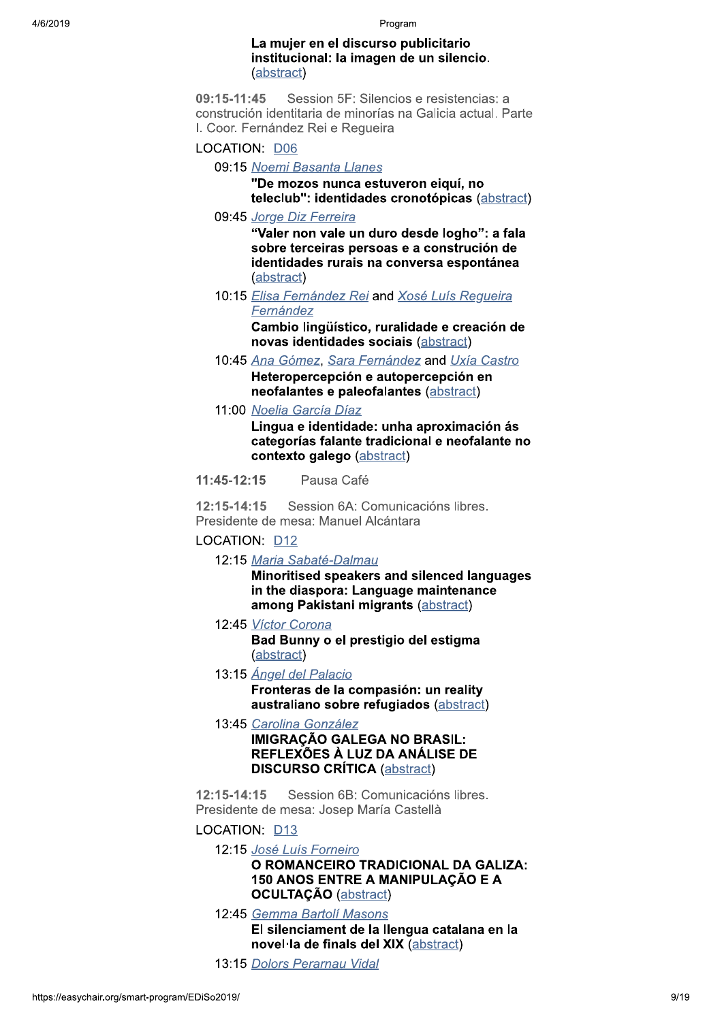# La mujer en el discurso publicitario institucional: la imagen de un silencio. (abstract)

09:15-11:45 Session 5F: Silencios e resistencias: a construción identitaria de minorías na Galicia actual. Parte I. Coor. Fernández Rei e Requeira

# LOCATION: D06

09:15 Noemi Basanta Llanes

"De mozos nunca estuveron eiguí, no teleclub": identidades cronotópicas (abstract)

09:45 Jorge Diz Ferreira

"Valer non vale un duro desde logho": a fala sobre terceiras persoas e a construción de identidades rurais na conversa espontánea (abstract)

10:15 Elisa Fernández Rei and Xosé Luís Requeira Fernández

Cambio lingüístico, ruralidade e creación de novas identidades sociais (abstract)

- 10:45 Ana Gómez, Sara Fernández and Uxía Castro Heteropercepción e autopercepción en neofalantes e paleofalantes (abstract)
- 11:00 Noelia García Díaz

Lingua e identidade: unha aproximación ás categorías falante tradicional e neofalante no contexto galego (abstract)

#### 11:45-12:15 Pausa Café

 $12:15-14:15$ Session 6A: Comunicacións libres. Presidente de mesa: Manuel Alcántara

LOCATION: D12

- 12:15 Maria Sabaté-Dalmau Minoritised speakers and silenced languages in the diaspora: Language maintenance among Pakistani migrants (abstract)
- 12:45 Víctor Corona Bad Bunny o el prestigio del estigma (abstract)
- 13:15 Ángel del Palacio Fronteras de la compasión: un reality australiano sobre refugiados (abstract)
- 13:45 Carolina González

**IMIGRAÇÃO GALEGA NO BRASIL:** REFLEXÕES À LUZ DA ANÁLISE DE **DISCURSO CRÍTICA** (abstract)

Session 6B: Comunicacións libres.  $12:15 - 14:15$ Presidente de mesa: Josep María Castellà

LOCATION: D13

12:15 José Luís Forneiro

O ROMANCEIRO TRADICIONAL DA GALIZA: 150 ANOS ENTRE A MANIPULAÇÃO E A **OCULTAÇÃO** (abstract)

12:45 Gemma Bartolí Masons El silenciament de la llengua catalana en la novel·la de finals del XIX (abstract)

13:15 Dolors Perarnau Vidal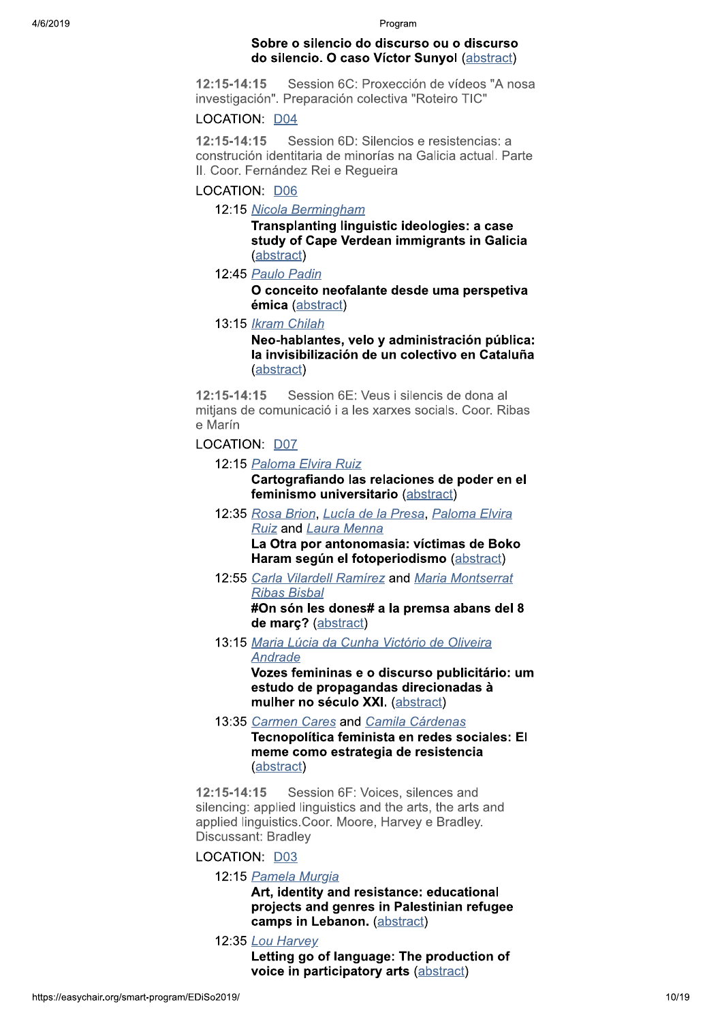## Sobre o silencio do discurso ou o discurso do silencio. O caso Víctor Sunyol (abstract)

Session 6C: Proxección de vídeos "A nosa  $12:15 - 14:15$ investigación". Preparación colectiva "Roteiro TIC"

# LOCATION: D04

Session 6D: Silencios e resistencias: a  $12:15 - 14:15$ construción identitaria de minorías na Galicia actual. Parte II. Coor. Fernández Rei e Requeira

LOCATION: D06

12:15 Nicola Bermingham

Transplanting linguistic ideologies: a case study of Cape Verdean immigrants in Galicia (abstract)

12:45 Paulo Padin

O conceito neofalante desde uma perspetiva émica (abstract)

13:15 Ikram Chilah

Neo-hablantes, velo y administración pública: la invisibilización de un colectivo en Cataluña (abstract)

 $12:15 - 14:15$ Session 6F: Veus i silencis de dona al mitjans de comunicació i a les xarxes socials. Coor. Ribas e Marín

# LOCATION: D07

12:15 Paloma Elvira Ruiz

Cartografiando las relaciones de poder en el feminismo universitario (abstract)

- 12:35 Rosa Brion, Lucía de la Presa, Paloma Elvira **Ruiz and Laura Menna** La Otra por antonomasia: víctimas de Boko Haram según el fotoperiodismo (abstract)
- 12:55 Carla Vilardell Ramírez and Maria Montserrat **Ribas Bishal**

#On són les dones# a la premsa abans del 8 de marc? (abstract)

13:15 Maria Lúcia da Cunha Victório de Oliveira Andrade

> Vozes femininas e o discurso publicitário: um estudo de propagandas direcionadas à mulher no século XXI. (abstract)

13:35 Carmen Cares and Camila Cárdenas Tecnopolítica feminista en redes sociales: El meme como estrategia de resistencia (abstract)

 $12:15 - 14:15$ Session 6F: Voices, silences and silencing: applied linguistics and the arts, the arts and applied linguistics. Coor. Moore, Harvey e Bradley. **Discussant: Bradley** 

# LOCATION: D03

12:15 Pamela Murgia

Art, identity and resistance: educational projects and genres in Palestinian refugee camps in Lebanon. (abstract)

12:35 Lou Harvey

Letting go of language: The production of voice in participatory arts (abstract)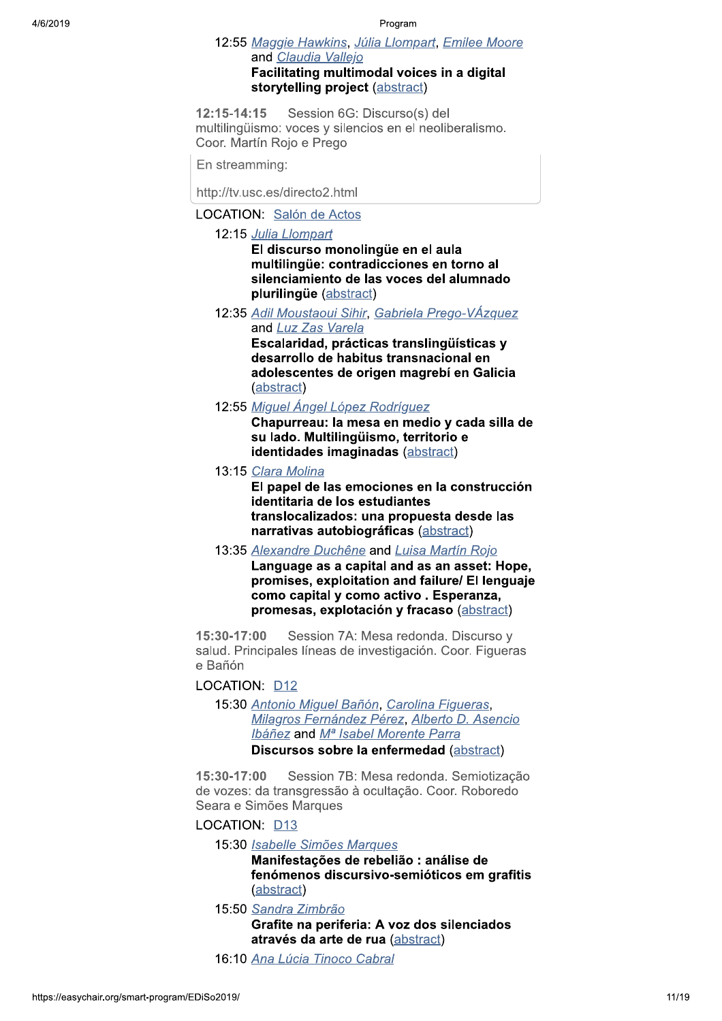## 12:55 Maggie Hawkins, Júlia Llompart, Emilee Moore and Claudia Vallejo Facilitating multimodal voices in a digital

storytelling project (abstract)  $12:15 - 14:15$ Session 6G: Discurso(s) del

multilingüismo: voces y silencios en el neoliberalismo. Coor. Martín Rojo e Prego

En streamming:

http://tv.usc.es/directo2.html

### LOCATION: Salón de Actos

12:15 Julia Llompart

El discurso monolingüe en el aula multilingüe: contradicciones en torno al silenciamiento de las voces del alumnado plurilingüe (abstract)

12:35 Adil Moustaoui Sihir, Gabriela Prego-VÁzquez and Luz Zas Varela

Escalaridad, prácticas translingüísticas v desarrollo de habitus transnacional en adolescentes de origen magrebí en Galicia (abstract)

12:55 Miguel Ángel López Rodríguez

Chapurreau: la mesa en medio y cada silla de su lado. Multilingüismo, territorio e identidades imaginadas (abstract)

13:15 Clara Molina

El papel de las emociones en la construcción identitaria de los estudiantes translocalizados: una propuesta desde las narrativas autobiográficas (abstract)

13:35 Alexandre Duchêne and Luisa Martín Rojo

Language as a capital and as an asset: Hope. promises, exploitation and failure/ El lenguaje como capital y como activo. Esperanza. promesas, explotación y fracaso (abstract)

15:30-17:00 Session 7A: Mesa redonda. Discurso y salud. Principales líneas de investigación. Coor. Figueras e Bañón

# LOCATION: D12

15:30 Antonio Miguel Bañón, Carolina Figueras, Milagros Fernández Pérez, Alberto D. Asencio Ibáñez and M<sup>a</sup> Isabel Morente Parra Discursos sobre la enfermedad (abstract)

15:30-17:00 Session 7B: Mesa redonda. Semiotização de vozes: da transgressão à ocultação. Coor. Roboredo Seara e Simões Marques

#### LOCATION: D13

15:30 Isabelle Simões Marques

Manifestações de rebelião : análise de fenómenos discursivo-semióticos em grafitis (abstract)

# 15:50 Sandra Zimbrão Grafite na periferia: A voz dos silenciados através da arte de rua (abstract)

16:10 Ana Lúcia Tinoco Cabral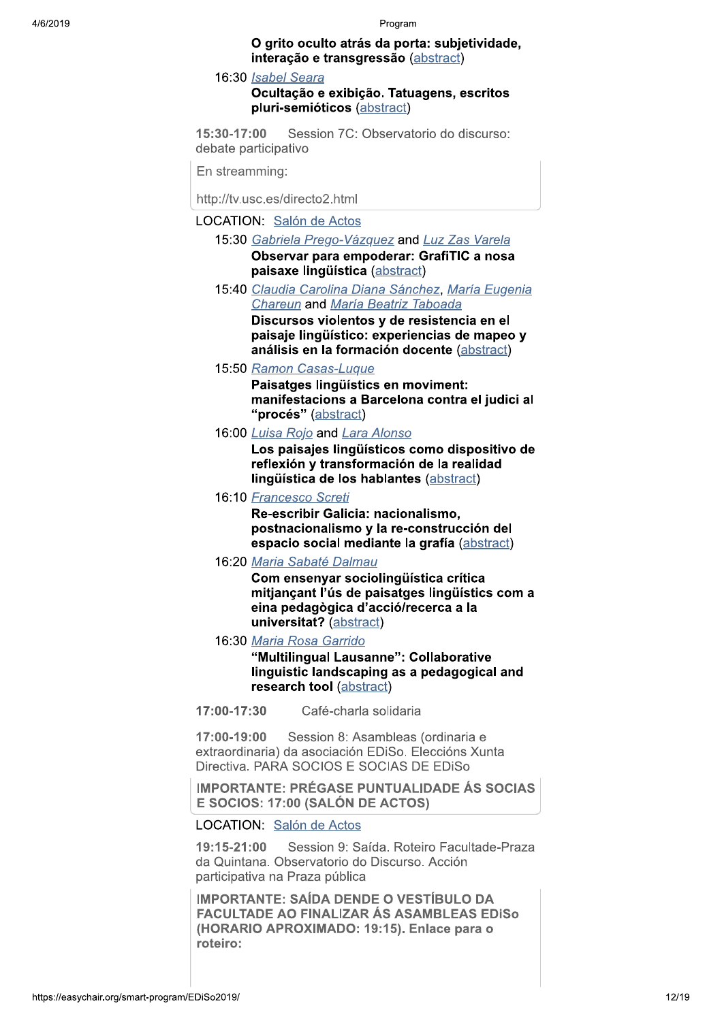# O grito oculto atrás da porta: subjetividade, interação e transgressão (abstract)

# 16:30 Isabel Seara

# Ocultação e exibição. Tatuagens, escritos pluri-semióticos (abstract)

Session 7C: Observatorio do discurso: 15:30-17:00 debate participativo

En streamming:

http://tv.usc.es/directo2.html

# LOCATION: Salón de Actos

- 15:30 Gabriela Prego-Vázquez and Luz Zas Varela Observar para empoderar: GrafiTIC a nosa paisaxe lingüística (abstract)
- 15:40 Claudia Carolina Diana Sánchez, María Eugenia Chareun and María Beatriz Taboada Discursos violentos y de resistencia en el paisaje lingüístico: experiencias de mapeo y análisis en la formación docente (abstract)
- 15:50 Ramon Casas-Luque

Paisatges lingüístics en moviment: manifestacions a Barcelona contra el judici al "procés" (abstract)

16:00 Luisa Rojo and Lara Alonso

Los paisaies lingüísticos como dispositivo de reflexión y transformación de la realidad lingüística de los hablantes (abstract)

16:10 Francesco Screti

Re-escribir Galicia: nacionalismo, postnacionalismo y la re-construcción del espacio social mediante la grafía (abstract)

16:20 Maria Sabaté Dalmau

Com ensenvar sociolingüística crítica mitjançant l'ús de paisatges lingüístics com a eina pedagògica d'acció/recerca a la universitat? (abstract)

16:30 Maria Rosa Garrido

"Multilingual Lausanne": Collaborative linguistic landscaping as a pedagogical and research tool (abstract)

17:00-17:30 Café-charla solidaria

17:00-19:00 Session 8: Asambleas (ordinaria e extraordinaria) da asociación EDISo. Eleccións Xunta Directiva, PARA SOCIOS E SOCIAS DE EDISO

**IMPORTANTE: PRÉGASE PUNTUALIDADE ÁS SOCIAS** E SOCIOS: 17:00 (SALÓN DE ACTOS)

LOCATION: Salón de Actos

19:15-21:00 Session 9: Saída, Roteiro Facultade-Praza da Quintana. Observatorio do Discurso. Acción participativa na Praza pública

**IMPORTANTE: SAÍDA DENDE O VESTÍBULO DA FACULTADE AO FINALIZAR ÁS ASAMBLEAS EDISO** (HORARIO APROXIMADO: 19:15). Enlace para o roteiro: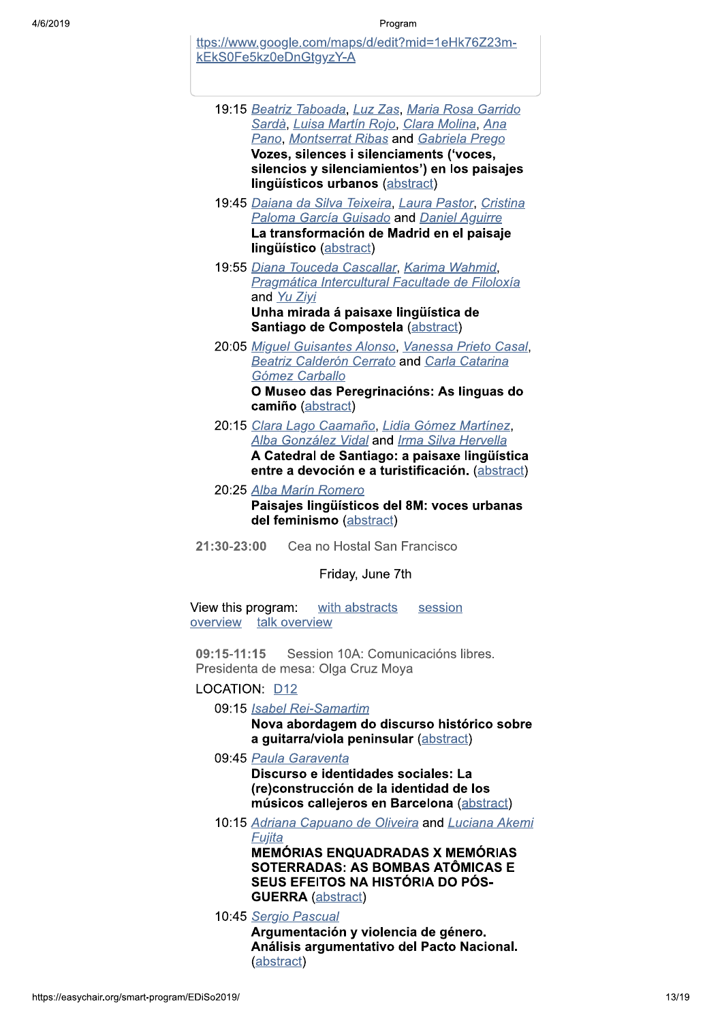ttps://www.google.com/maps/d/edit?mid=1eHk76Z23mkEkS0Fe5kz0eDnGtgyzY-A

- 19:15 Beatriz Taboada, Luz Zas, Maria Rosa Garrido Sardà, Luisa Martín Rojo, Clara Molina, Ana Pano, Montserrat Ribas and Gabriela Prego Vozes, silences i silenciaments ('voces, silencios y silenciamientos') en los paisajes lingüísticos urbanos (abstract)
- 19:45 Daiana da Silva Teixeira, Laura Pastor, Cristina Paloma García Guisado and Daniel Aguirre La transformación de Madrid en el paisaje lingüístico (abstract)
- 19:55 Diana Touceda Cascallar, Karima Wahmid, Pragmática Intercultural Facultade de Filoloxía and Yu Zivi

Unha mirada á paisaxe lingüística de Santiago de Compostela (abstract)

- 20:05 Miquel Guisantes Alonso, Vanessa Prieto Casal, Beatriz Calderón Cerrato and Carla Catarina Gómez Carballo O Museo das Peregrinacións: As linguas do camiño (abstract)
- 20:15 Clara Lago Caamaño, Lidia Gómez Martínez, Alba González Vidal and Irma Silva Hervella A Catedral de Santiago: a paisaxe lingüística entre a devoción e a turistificación. (abstract)
- 20:25 Alba Marín Romero Paisajes lingüísticos del 8M: voces urbanas del feminismo (abstract)
- 21:30-23:00 Cea no Hostal San Francisco

Friday, June 7th

View this program: with abstracts session overview talk overview

09:15-11:15 Session 10A: Comunicacións libres. Presidenta de mesa: Olga Cruz Moya

# LOCATION: D12

- 09:15 Isabel Rei-Samartim Nova abordagem do discurso histórico sobre
	- a quitarra/viola peninsular (abstract)
- 09:45 Paula Garaventa

Discurso e identidades sociales: La (re)construcción de la identidad de los músicos callejeros en Barcelona (abstract)

10:15 Adriana Capuano de Oliveira and Luciana Akemi Fuiita

> **MEMÓRIAS ENQUADRADAS X MEMÓRIAS** SOTERRADAS: AS BOMBAS ATÔMICAS E SEUS EFEITOS NA HISTÓRIA DO PÓS-**GUERRA** (abstract)

10:45 Sergio Pascual

Argumentación y violencia de género. Análisis argumentativo del Pacto Nacional. (abstract)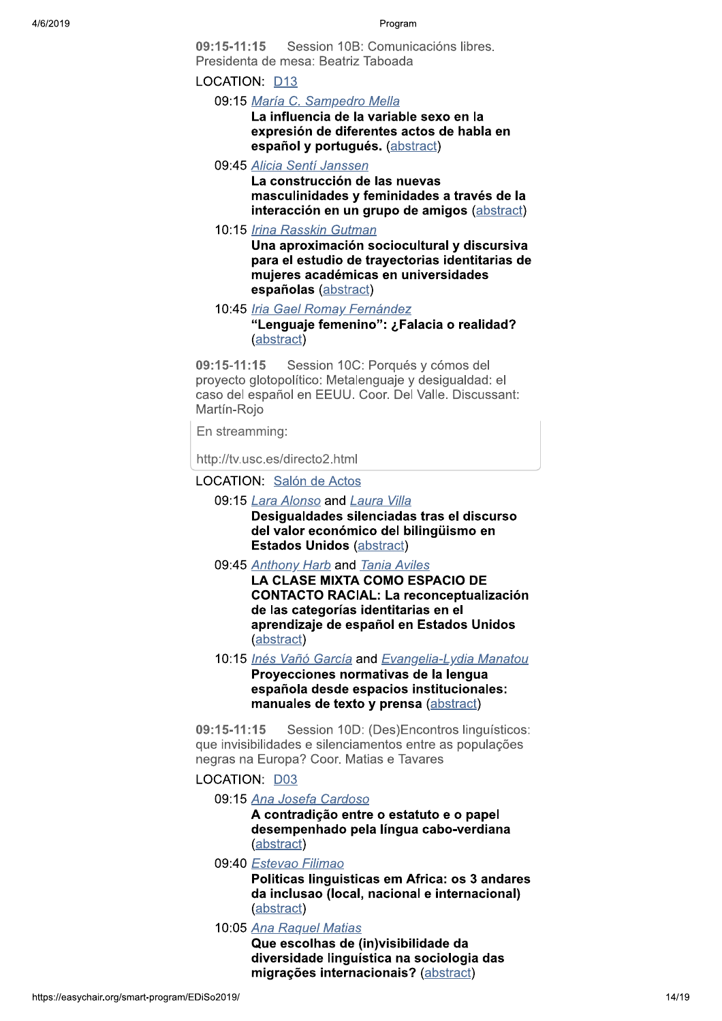09:15-11:15 Session 10B: Comunicacións libres. Presidenta de mesa: Beatriz Taboada

### LOCATION: D13

09:15 María C. Sampedro Mella

La influencia de la variable sexo en la expresión de diferentes actos de habla en español y portugués. (abstract)

09:45 Alicia Sentí Janssen

La construcción de las nuevas masculinidades y feminidades a través de la interacción en un grupo de amigos (abstract)

10:15 Irina Rasskin Gutman

Una aproximación sociocultural y discursiva para el estudio de trayectorias identitarias de mujeres académicas en universidades españolas (abstract)

10:45 Iria Gael Romay Fernández "Lenguaje femenino": ¿Falacia o realidad? (abstract)

09:15-11:15 Session 10C: Porqués y cómos del proyecto glotopolítico: Metalenguaje y desigualdad: el caso del español en EEUU. Coor. Del Valle. Discussant: Martín-Rojo

En streamming:

http://tv.usc.es/directo2.html

**LOCATION:** Salón de Actos

09:15 Lara Alonso and Laura Villa

Desigualdades silenciadas tras el discurso del valor económico del bilingüismo en **Estados Unidos (abstract)** 

09:45 Anthony Harb and Tania Aviles

**LA CLASE MIXTA COMO ESPACIO DE CONTACTO RACIAL: La reconceptualización** de las categorías identitarias en el aprendizaje de español en Estados Unidos (abstract)

10:15 Inés Vañó García and Evangelia-Lydia Manatou Proyecciones normativas de la lengua española desde espacios institucionales: manuales de texto y prensa (abstract)

Session 10D: (Des)Encontros linguísticos: 09:15-11:15 que invisibilidades e silenciamentos entre as populações negras na Europa? Coor. Matias e Tavares

#### LOCATION D03

09:15 Ana Josefa Cardoso

A contradição entre o estatuto e o papel desempenhado pela língua cabo-verdiana (abstract)

09:40 Estevao Filimao

Politicas linguisticas em Africa: os 3 andares da inclusao (local, nacional e internacional) (abstract)

10:05 Ana Raquel Matias

Que escolhas de (in)visibilidade da diversidade linguística na sociologia das migrações internacionais? (abstract)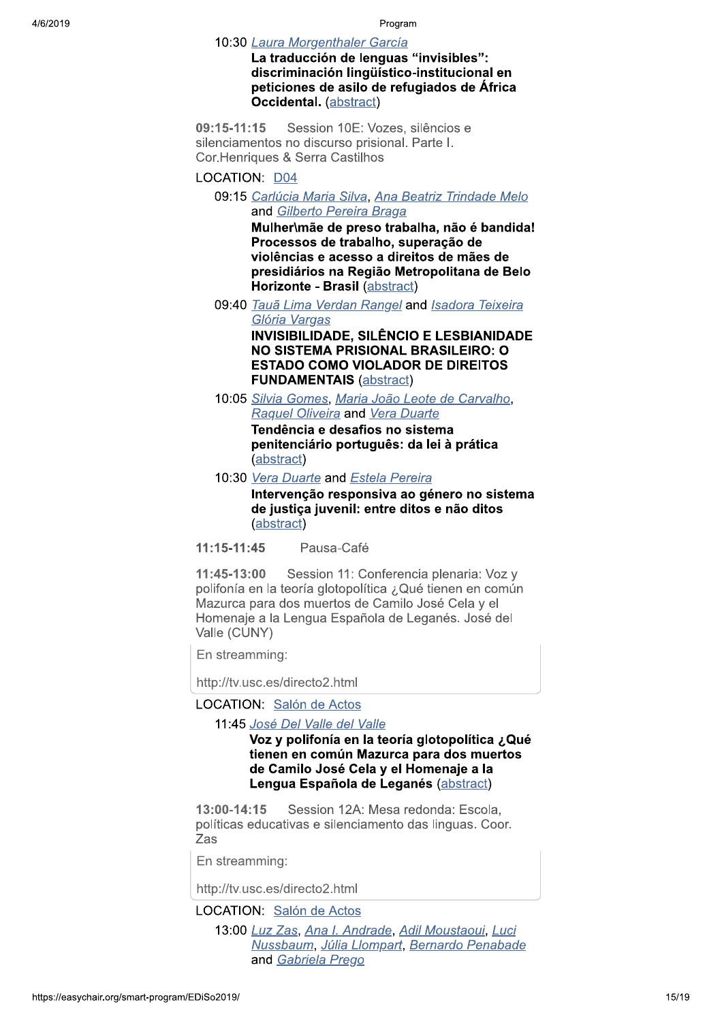#### 10:30 Laura Morgenthaler García

La traducción de lenguas "invisibles": discriminación lingüístico-institucional en peticiones de asilo de refugiados de África Occidental. (abstract)

09:15-11:15 Session 10E: Vozes, silêncios e silenciamentos no discurso prisional. Parte I. Cor. Henriques & Serra Castilhos

## LOCATION: D04

09:15 Carlúcia Maria Silva, Ana Beatriz Trindade Melo and Gilberto Pereira Braga

> Mulher\mãe de preso trabalha, não é bandida! Processos de trabalho, superação de violências e acesso a direitos de mães de presidiários na Região Metropolitana de Belo Horizonte - Brasil (abstract)

09:40 Tauã Lima Verdan Rangel and Isadora Teixeira Glória Vargas

**INVISIBILIDADE, SILÊNCIO E LESBIANIDADE** NO SISTEMA PRISIONAL BRASILEIRO: O **ESTADO COMO VIOLADOR DE DIREITOS FUNDAMENTAIS (abstract)** 

10:05 Silvia Gomes, Maria João Leote de Carvalho, Raquel Oliveira and Vera Duarte Tendência e desafios no sistema penitenciário português: da lei à prática (abstract)

10:30 Vera Duarte and Estela Pereira

Intervenção responsiva ao género no sistema de justiça juvenil: entre ditos e não ditos (abstract)

 $11:15 - 11:45$ Pausa-Café

 $11:45-13:00$ Session 11: Conferencia plenaria: Voz y polifonía en la teoría glotopolítica ¿Qué tienen en común Mazurca para dos muertos de Camilo José Cela y el Homenaie a la Lengua Española de Leganés, José del Valle (CUNY)

En streamming:

http://tv.usc.es/directo2.html

LOCATION: Salón de Actos

11:45 José Del Valle del Valle

Voz y polifonía en la teoría glotopolítica ¿Qué tienen en común Mazurca para dos muertos de Camilo José Cela y el Homenaje a la Lengua Española de Leganés (abstract)

13:00-14:15 Session 12A: Mesa redonda: Escola. políticas educativas e silenciamento das linguas. Coor. Zas

En streamming:

http://tv.usc.es/directo2.html

**LOCATION** Salón de Actos

13:00 Luz Zas, Ana I. Andrade, Adil Moustaoui, Luci Nussbaum, Júlia Llompart, Bernardo Penabade and Gabriela Prego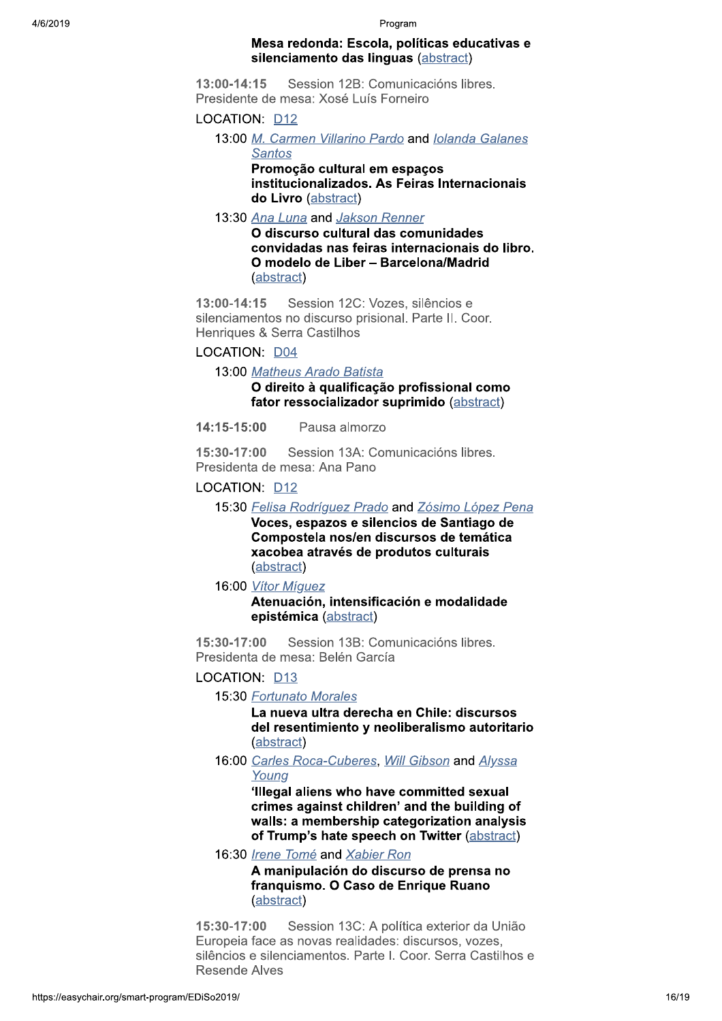#### Mesa redonda: Escola, políticas educativas e silenciamento das linguas (abstract)

Session 12B: Comunicacións libres. 13:00-14:15 Presidente de mesa: Xosé Luís Forneiro

## LOCATION: D12

13:00 M. Carmen Villarino Pardo and Jolanda Galanes **Santos** 

Promocão cultural em espacos institucionalizados. As Feiras Internacionais do Livro (abstract)

## 13:30 Ana Luna and Jakson Renner

O discurso cultural das comunidades convidadas nas feiras internacionais do libro. O modelo de Liber - Barcelona/Madrid (abstract)

13:00-14:15 Session 12C: Vozes, silêncios e silenciamentos no discurso prisional. Parte II. Coor. Henriques & Serra Castilhos

LOCATION: D04

13:00 Matheus Arado Batista

O direito à qualificação profissional como fator ressocializador suprimido (abstract)

14:15-15:00 Pausa almorzo

Session 13A: Comunicacións libres. 15:30-17:00 Presidenta de mesa: Ana Pano

# **LOCATION D12**

15:30 Felisa Rodríguez Prado and Zósimo López Pena

Voces, espazos e silencios de Santiago de Compostela nos/en discursos de temática xacobea através de produtos culturais (abstract)

16:00 Vitor Miguez

Atenuación, intensificación e modalidade epistémica (abstract)

15:30-17:00 Session 13B: Comunicacións libres. Presidenta de mesa: Belén García

# LOCATION: D13

15:30 Fortunato Morales

La nueva ultra derecha en Chile: discursos del resentimiento y neoliberalismo autoritario (abstract)

16:00 Carles Roca-Cuberes, Will Gibson and Alyssa Young

> 'Illegal aliens who have committed sexual crimes against children' and the building of walls: a membership categorization analysis of Trump's hate speech on Twitter (abstract)

16:30 Irene Tomé and Xabier Ron

A manipulación do discurso de prensa no franquismo. O Caso de Enrique Ruano (abstract)

15:30-17:00 Session 13C: A política exterior da União Europeia face as novas realidades: discursos, vozes, silêncios e silenciamentos. Parte I. Coor. Serra Castilhos e **Resende Alves**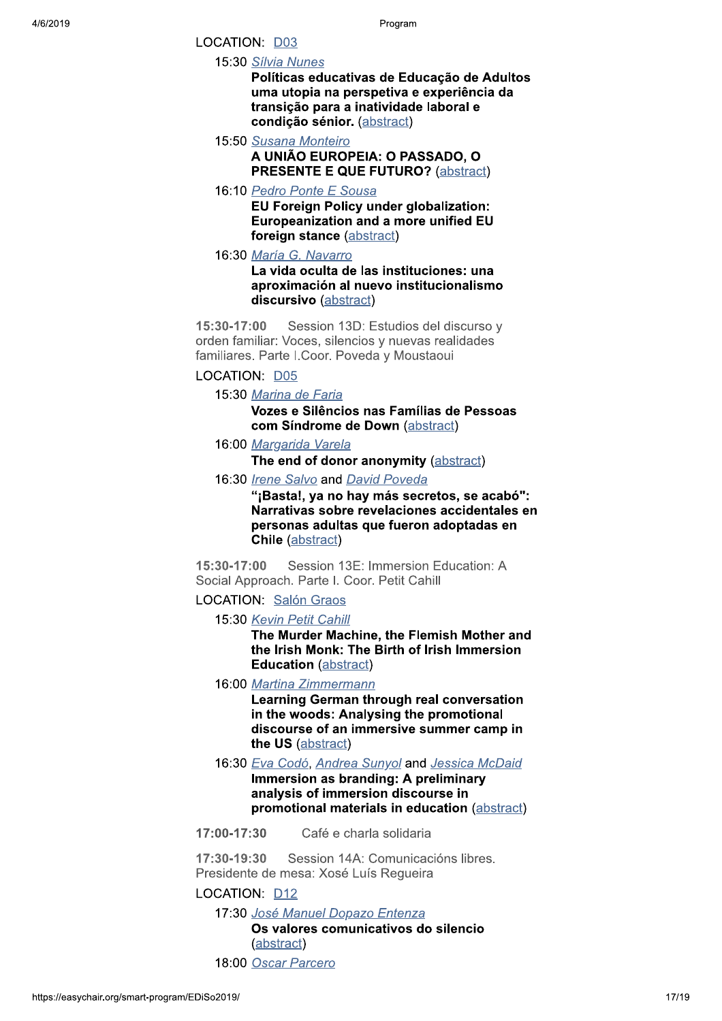15:30 Sílvia Nunes

LOCATION D03

Políticas educativas de Educação de Adultos uma utopia na perspetiva e experiência da transição para a inatividade laboral e condição sénior. (abstract)

- 15:50 Susana Monteiro A UNIÃO EUROPEIA: O PASSADO, O **PRESENTE E QUE FUTURO?** (abstract)
- 16:10 Pedro Ponte E Sousa EU Foreign Policy under globalization: Europeanization and a more unified EU foreign stance (abstract)
- 16:30 María G. Navarro

La vida oculta de las instituciones: una aproximación al nuevo institucionalismo discursivo (abstract)

15:30-17:00 Session 13D: Estudios del discurso y orden familiar: Voces, silencios y nuevas realidades familiares. Parte I.Coor. Poveda y Moustaoui

#### LOCATION: D05

15:30 Marina de Faria

Vozes e Silêncios nas Famílias de Pessoas com Síndrome de Down (abstract)

16:00 Margarida Varela

The end of donor anonymity (abstract)

16:30 Irene Salvo and David Poveda

"¡Basta!, ya no hay más secretos, se acabó": Narrativas sobre revelaciones accidentales en personas adultas que fueron adoptadas en **Chile** (abstract)

15:30-17:00 Session 13E: Immersion Education: A Social Approach. Parte I. Coor. Petit Cahill

# **LOCATION: Salón Graos**

15:30 Kevin Petit Cahill

The Murder Machine, the Flemish Mother and the Irish Monk: The Birth of Irish Immersion **Education (abstract)** 

16:00 Martina Zimmermann

Learning German through real conversation in the woods: Analysing the promotional discourse of an immersive summer camp in the US (abstract)

16:30 Eva Codó, Andrea Sunyol and Jessica McDaid Immersion as branding: A preliminary analysis of immersion discourse in promotional materials in education (abstract)

17:00-17:30 Café e charla solidaria

 $17:30-19:30$ Session 14A: Comunicacións libres. Presidente de mesa: Xosé Luís Regueira

## LOCATION: D12

17:30 José Manuel Dopazo Entenza Os valores comunicativos do silencio (abstract)

18:00 Oscar Parcero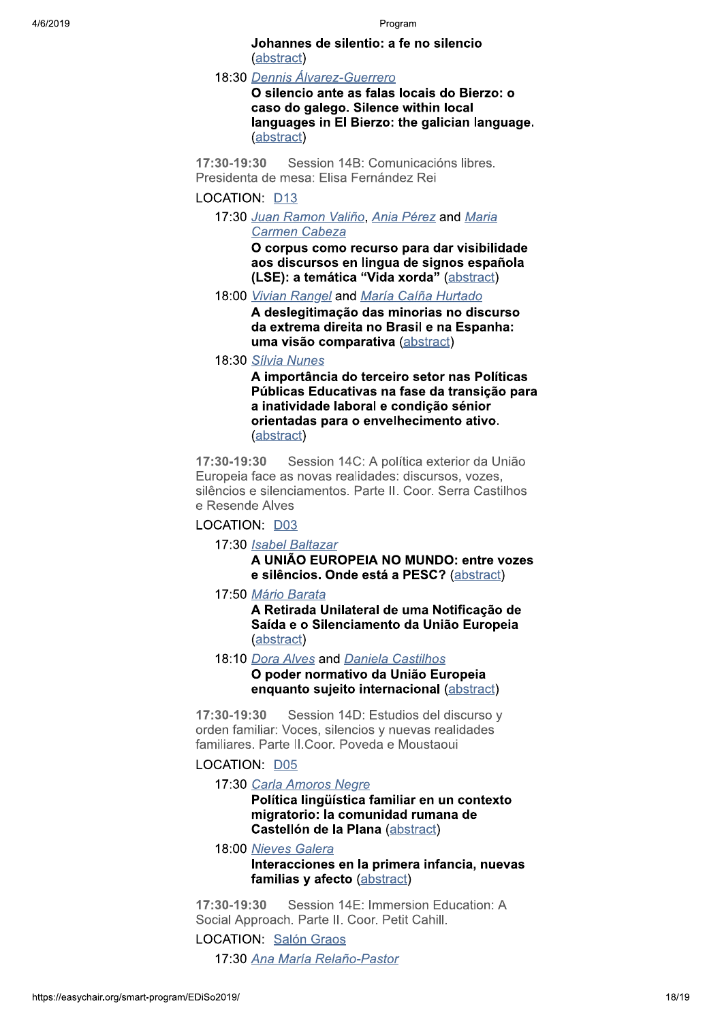#### Johannes de silentio: a fe no silencio (abstract)

#### 18:30 Dennis Álvarez-Guerrero

O silencio ante as falas locais do Bierzo: o caso do galego. Silence within local languages in El Bierzo: the galician language. (abstract)

17:30-19:30 Session 14B: Comunicacións libres. Presidenta de mesa: Elisa Fernández Rei

# LOCATION: D13

17:30 Juan Ramon Valiño, Ania Pérez and Maria **Carmen Cabeza** 

> O corpus como recurso para dar visibilidade aos discursos en lingua de signos española (LSE): a temática "Vida xorda" (abstract)

18:00 Vivian Rangel and María Caíña Hurtado

A deslegitimação das minorias no discurso da extrema direita no Brasil e na Espanha: uma visão comparativa (abstract)

18:30 Sílvia Nunes

A importância do terceiro setor nas Políticas Públicas Educativas na fase da transição para a inatividade laboral e condicão sénior orientadas para o envelhecimento ativo. (abstract)

Session 14C: A política exterior da União 17:30-19:30 Europeia face as novas realidades; discursos, vozes. silêncios e silenciamentos. Parte II. Coor. Serra Castilhos e Resende Alves

# LOCATION: D03

17:30 Isabel Baltazar

A UNIÃO EUROPEIA NO MUNDO: entre vozes e silêncios. Onde está a PESC? (abstract)

17:50 Mário Barata

A Retirada Unilateral de uma Notificação de Saída e o Silenciamento da União Europeia (abstract)

18:10 Dora Alves and Daniela Castilhos

O poder normativo da União Europeia enquanto sujeito internacional (abstract)

17:30-19:30 Session 14D: Estudios del discurso y orden familiar: Voces, silencios y nuevas realidades familiares. Parte II.Coor. Poveda e Moustaoui

# LOCATION: D05

17:30 Carla Amoros Negre

Política lingüística familiar en un contexto migratorio: la comunidad rumana de Castellón de la Plana (abstract)

18:00 Nieves Galera

Interacciones en la primera infancia, nuevas familias y afecto (abstract)

17:30-19:30 Session 14E: Immersion Education: A Social Approach. Parte II. Coor. Petit Cahill.

**LOCATION: Salón Graos** 

17:30 Ana María Relaño-Pastor